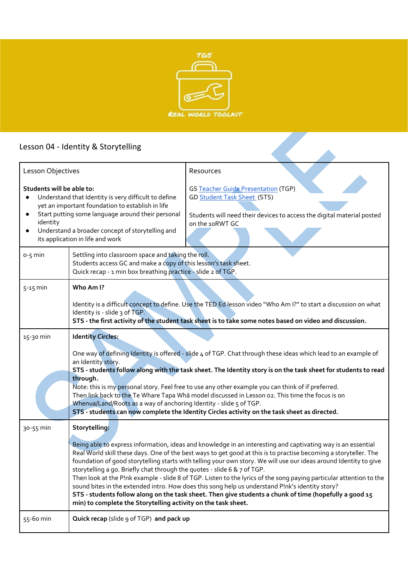

## Lesson 04 - Identity & Storytelling

| Lesson 04 - Identity & Storytelling                                                                                                                                                                                                                                                            |                                                                                                                                                                                                                                                                                                                                                                                                                                                                                                                                                                                                                                                                                                                                                                                                                                                         |                                                                                                                                                                               |
|------------------------------------------------------------------------------------------------------------------------------------------------------------------------------------------------------------------------------------------------------------------------------------------------|---------------------------------------------------------------------------------------------------------------------------------------------------------------------------------------------------------------------------------------------------------------------------------------------------------------------------------------------------------------------------------------------------------------------------------------------------------------------------------------------------------------------------------------------------------------------------------------------------------------------------------------------------------------------------------------------------------------------------------------------------------------------------------------------------------------------------------------------------------|-------------------------------------------------------------------------------------------------------------------------------------------------------------------------------|
| Lesson Objectives                                                                                                                                                                                                                                                                              |                                                                                                                                                                                                                                                                                                                                                                                                                                                                                                                                                                                                                                                                                                                                                                                                                                                         | Resources                                                                                                                                                                     |
| Students will be able to:<br>Understand that Identity is very difficult to define<br>yet an important foundation to establish in life<br>Start putting some language around their personal<br>identity<br>Understand a broader concept of storytelling and<br>its application in life and work |                                                                                                                                                                                                                                                                                                                                                                                                                                                                                                                                                                                                                                                                                                                                                                                                                                                         | <b>GS Teacher Guide Presentation (TGP)</b><br><b>GD Student Task Sheet (STS)</b><br>Students will need their devices to access the digital material posted<br>on the 10RWT GC |
| $0 - 5$ min                                                                                                                                                                                                                                                                                    | Settling into classroom space and taking the roll.<br>Students access GC and make a copy of this lesson's task sheet.<br>Quick recap - 1 min box breathing practice - slide 2 of TGP.                                                                                                                                                                                                                                                                                                                                                                                                                                                                                                                                                                                                                                                                   |                                                                                                                                                                               |
| $5-15$ min                                                                                                                                                                                                                                                                                     | Who Am I?<br>Identity is a difficult concept to define. Use the TED Ed lesson video "Who Am I?" to start a discussion on what<br>Identity is - slide 3 of TGP.<br>STS - the first activity of the student task sheet is to take some notes based on video and discussion.                                                                                                                                                                                                                                                                                                                                                                                                                                                                                                                                                                               |                                                                                                                                                                               |
| 15-30 min                                                                                                                                                                                                                                                                                      | <b>Identity Circles:</b><br>One way of defining Identity is offered - slide 4 of TGP. Chat through these ideas which lead to an example of<br>an Identity story.<br>STS - students follow along with the task sheet. The Identity story is on the task sheet for students to read<br>through.<br>Note: this is my personal story. Feel free to use any other example you can think of if preferred.<br>Then link back to the Te Whare Tapa Whā model discussed in Lesson o2. This time the focus is on<br>Whenua/Land/Roots as a way of anchoring Identity - slide 5 of TGP.<br>STS - students can now complete the Identity Circles activity on the task sheet as directed.                                                                                                                                                                            |                                                                                                                                                                               |
| 30-55 min                                                                                                                                                                                                                                                                                      | Storytelling:<br>Being able to express information, ideas and knowledge in an interesting and captivating way is an essential<br>Real World skill these days. One of the best ways to get good at this is to practise becoming a storyteller. The<br>foundation of good storytelling starts with telling your own story. We will use our ideas around Identity to give<br>storytelling a go. Briefly chat through the quotes - slide 6 & 7 of TGP.<br>Then look at the P!nk example - slide 8 of TGP. Listen to the lyrics of the song paying particular attention to the<br>sound bites in the extended intro. How does this song help us understand P!nk's identity story?<br>STS - students follow along on the task sheet. Then give students a chunk of time (hopefully a good 15<br>min) to complete the Storytelling activity on the task sheet. |                                                                                                                                                                               |
| 55-60 min                                                                                                                                                                                                                                                                                      | Quick recap (slide 9 of TGP) and pack up                                                                                                                                                                                                                                                                                                                                                                                                                                                                                                                                                                                                                                                                                                                                                                                                                |                                                                                                                                                                               |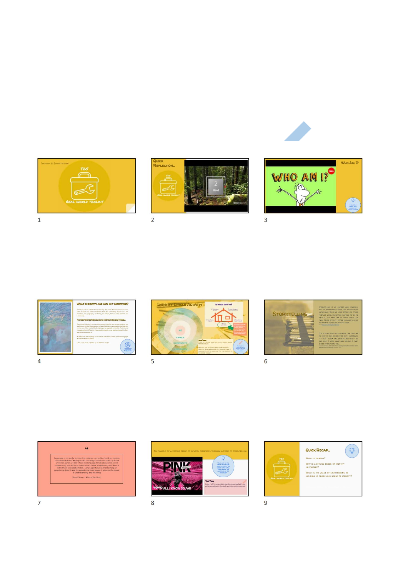







 $\overline{2}$ 



 $\overline{4}$ 





 $\overline{5}$ 



 $6\overline{6}$ 





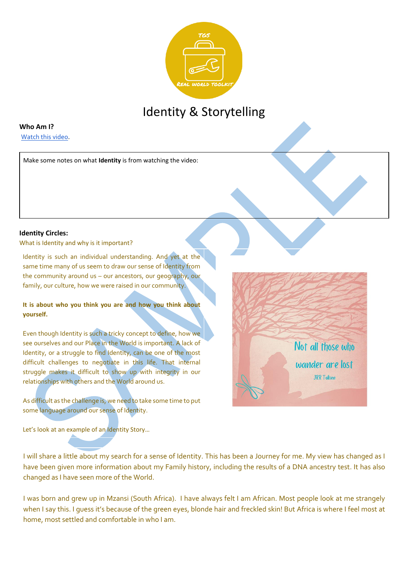

# Identity & Storytelling

#### **Who Am I?**

Watch this video.

Make some notes on what **Identity** is from watching the video:

#### **Identity Circles:**

What is Identity and why is it important?

Identity is such an individual understanding. And yet at the same time many of us seem to draw our sense of Identity from the community around us – our ancestors, our geography, our family, our culture, how we were raised in our community.

#### **It is about who you think you are and how you think about yourself.**

Even though Identity is such a tricky concept to define, how we see ourselves and our Place in the World is important. A lack of Identity, or a struggle to find Identity, can be one of the most difficult challenges to negotiate in this life. That internal struggle makes it difficult to show up with integrity in our relationships with others and the World around us.

As difficult as the challenge is, we need to take some time to put some language around our sense of Identity.

Let's look at an example of an Identity Story…

I will share a little about my search for a sense of Identity. This has been a Journey for me. My view has changed as I have been given more information about my Family history, including the results of a DNA ancestry test. It has also changed as I have seen more of the World.

Not all those who

wander are lost **JRR Tolkien** 

I was born and grew up in Mzansi (South Africa). I have always felt I am African. Most people look at me strangely when I say this. I guess it's because of the green eyes, blonde hair and freckled skin! But Africa is where I feel most at home, most settled and comfortable in who I am.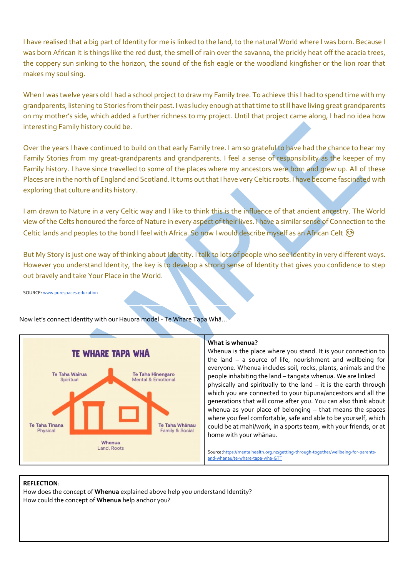I have realised that a big part of Identity for me is linked to the land, to the natural World where I was born. Because I was born African it is things like the red dust, the smell of rain over the savanna, the prickly heat off the acacia trees, the coppery sun sinking to the horizon, the sound of the fish eagle or the woodland kingfisher or the lion roar that makes my soul sing.

When I was twelve years old I had a school project to draw my Family tree. To achieve this I had to spend time with my grandparents, listening to Stories from their past. I was lucky enough at that time to still have living great grandparents on my mother's side, which added a further richness to my project. Until that project came along, I had no idea how interesting Family history could be.

Over the years I have continued to build on that early Family tree. I am so grateful to have had the chance to hear my Family Stories from my great-grandparents and grandparents. I feel a sense of responsibility as the keeper of my Family history. I have since travelled to some of the places where my ancestors were born and grew up. All of these Places are in the north of England and Scotland. It turns out that I have very Celtic roots. I have become fascinated with exploring that culture and its history.

I am drawn to Nature in a very Celtic way and I like to think this is the influence of that ancient ancestry. The World view of the Celts honoured the force of Nature in every aspect of their lives. I have a similar sense of Connection to the Celtic lands and peoples to the bond I feel with Africa. So now I would describe myself as an African Celt  $\odot$ 

But My Story is just one way of thinking about Identity. I talk to lots of people who see Identity in very different ways. However you understand Identity, the key is to develop a strong sense of Identity that gives you confidence to step out bravely and take Your Place in the World.

SOURCE: www.purespaces.education



Now let's connect Identity with our Hauora model - Te Whare Tapa Whā…

#### **What is whenua?**

Whenua is the place where you stand. It is your connection to the land – a source of life, nourishment and wellbeing for everyone. Whenua includes soil, rocks, plants, animals and the people inhabiting the land – tangata whenua. We are linked physically and spiritually to the land – it is the earth through which you are connected to your tūpuna/ancestors and all the generations that will come after you. You can also think about whenua as your place of belonging – that means the spaces where you feel comfortable, safe and able to be yourself, which could be at mahi/work, in a sports team, with your friends, or at home with your whānau.

Source:https://mentalhealth.org.nz/getting-through-together/wellbeing-for-parentsand-whanau/te-whare-tapa-wha-GTT

#### **REFLECTION**:

How does the concept of **Whenua** explained above help you understand Identity? How could the concept of **Whenua** help anchor you?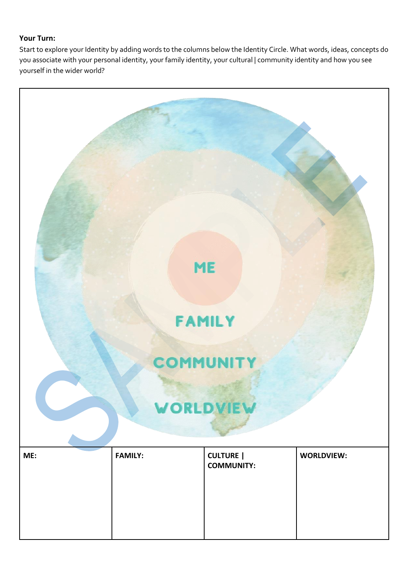### **Your Turn:**

Start to explore your Identity by adding words to the columns below the Identity Circle. What words, ideas, concepts do you associate with your personal identity, your family identity, your cultural | community identity and how you see yourself in the wider world?

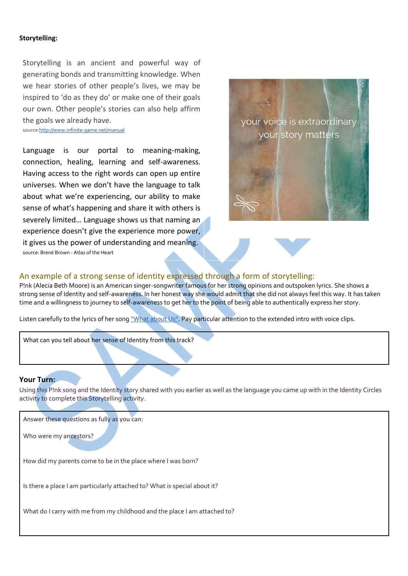#### **Storytelling:**

Storytelling is an ancient and powerful way of generating bonds and transmitting knowledge. When we hear stories of other people's lives, we may be inspired to 'do as they do' or make one of their goals our own. Other people's stories can also help affirm the goals we already have.

source:http://www.infinite-game.net/manual

Language is our portal to meaning-making, connection, healing, learning and self-awareness. Having access to the right words can open up entire universes. When we don't have the language to talk about what we're experiencing, our ability to make sense of what's happening and share it with others is severely limited... Language shows us that naming an experience doesn't give the experience more power, it gives us the power of understanding and meaning. source: Brené Brown - Atlas of the Heart



#### An example of a strong sense of identity expressed through a form of storytelling:

P!nk (Alecia Beth Moore) is an American singer-songwriter famous for her strong opinions and outspoken lyrics. She shows a strong sense of Identity and self-awareness. In her honest way she would admit that she did not always feel this way. It has taken time and a willingness to journey to self-awareness to get her to the point of being able to authentically express her story.

Listen carefully to the lyrics of her song "What about Us". Pay particular attention to the extended intro with voice clips.

What can you tell about her sense of Identity from this track?

#### **Your Turn:**

Using this P!nk song and the Identity story shared with you earlier as well as the language you came up with in the Identity Circles activity to complete this Storytelling activity.

Answer these questions as fully as you can:

Who were my ancestors?

How did my parents come to be in the place where I was born?

Is there a place I am particularly attached to? What is special about it?

What do I carry with me from my childhood and the place I am attached to?